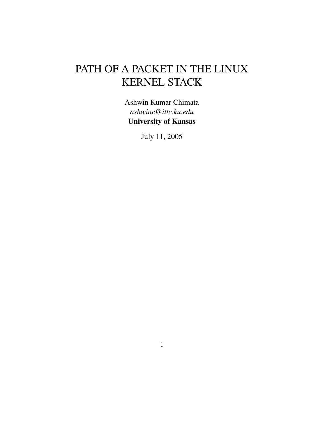# PATH OF A PACKET IN THE LINUX KERNEL STACK

Ashwin Kumar Chimata *ashwinc@ittc.ku.edu* **University of Kansas**

July 11, 2005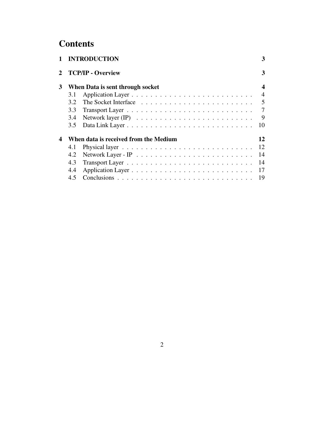# **Contents**

|     | 3                                                                                                                       |
|-----|-------------------------------------------------------------------------------------------------------------------------|
|     | 3                                                                                                                       |
|     | $\boldsymbol{4}$                                                                                                        |
| 3.1 | $\overline{4}$                                                                                                          |
| 3.2 | $\overline{5}$                                                                                                          |
| 3.3 | $\tau$                                                                                                                  |
| 3.4 | 9                                                                                                                       |
| 3.5 | 10                                                                                                                      |
|     | 12                                                                                                                      |
| 4.1 | 12                                                                                                                      |
| 4.2 | 14                                                                                                                      |
| 4.3 | 14                                                                                                                      |
| 4.4 | 17                                                                                                                      |
| 4.5 | 19                                                                                                                      |
|     | 1 INTRODUCTION<br><b>TCP/IP - Overview</b><br>When Data is sent through socket<br>When data is received from the Medium |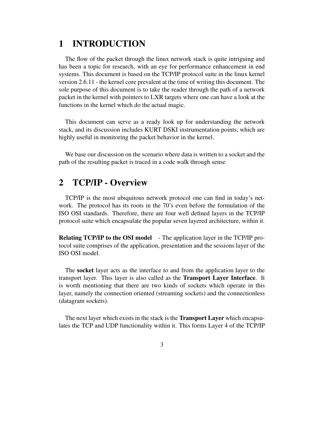## **1 INTRODUCTION**

The flow of the packet through the linux network stack is quite intriguing and has been a topic for research, with an eye for performance enhancement in end systems. This document is based on the TCP/IP protocol suite in the linux kernel version 2.6.11 - the kernel core prevalent at the time of writing this document. The sole purpose of this document is to take the reader through the path of a network packet in the kernel with pointers to LXR targets where one can have a look at the functions in the kernel which do the actual magic.

This document can serve as a ready look up for understanding the network stack, and its discussion includes KURT DSKI instrumentation points, which are highly useful in monitoring the packet behavior in the kernel.

We base our discussion on the scenario where data is written to a socket and the path of the resulting packet is traced in a code walk through sense

## **2 TCP/IP - Overview**

TCP/IP is the most ubiquitous network protocol one can find in today's network. The protocol has its roots in the 70's even before the formulation of the ISO OSI standards. Therefore, there are four well defined layers in the TCP/IP protocol suite which encapsulate the popular seven layered architecture, within it.

**Relating TCP/IP to the OSI model** - The application layer in the TCP/IP protocol suite comprises of the application, presentation and the sessions layer of the ISO OSI model.

The **socket** layer acts as the interface to and from the application layer to the transport layer. This layer is also called as the **Transport Layer Interface**. It is worth mentioning that there are two kinds of sockets which operate in this layer, namely the connection oriented (streaming sockets) and the connectionless (datagram sockets).

The next layer which existsin the stack is the **Transport Layer** which encapsulates the TCP and UDP functionality within it. This forms Layer 4 of the TCP/IP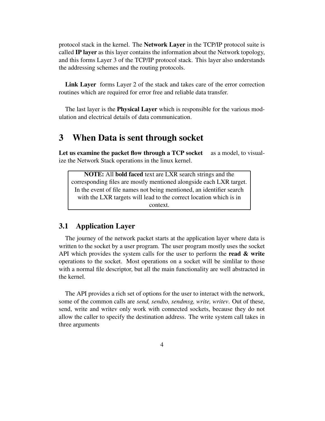protocol stack in the kernel. The **Network Layer** in the TCP/IP protocol suite is called **IP layer** as this layer contains the information about the Network topology, and this forms Layer 3 of the TCP/IP protocol stack. This layer also understands the addressing schemes and the routing protocols.

**Link Layer** forms Layer 2 of the stack and takes care of the error correction routines which are required for error free and reliable data transfer.

The last layer is the **Physical Layer** which is responsible for the various modulation and electrical details of data communication.

## **3 When Data is sent through socket**

**Let us examine the packet flow through a TCP socket** as a model, to visualize the Network Stack operations in the linux kernel.

**NOTE:** All **bold faced** text are LXR search strings and the corresponding files are mostly mentioned alongside each LXR target. In the event of file names not being mentioned, an identifier search with the LXR targets will lead to the correct location which is in context.

### **3.1 Application Layer**

The journey of the network packet starts at the application layer where data is written to the socket by a user program. The user program mostly uses the socket API which provides the system calls for the user to perform the **read & write** operations to the socket. Most operations on a socket will be simlilar to those with a normal file descriptor, but all the main functionality are well abstracted in the kernel.

The API provides a rich set of options for the user to interact with the network, some of the common calls are *send, sendto, sendmsg, write, writev*. Out of these, send, write and writev only work with connected sockets, because they do not allow the caller to specify the destination address. The write system call takes in three arguments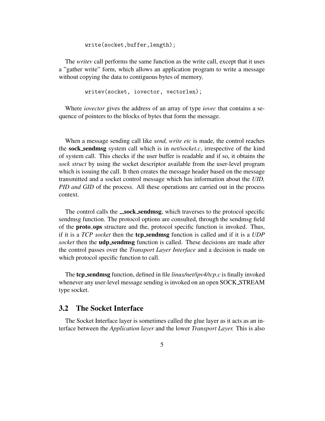write(socket,buffer,length);

The *writev* call performs the same function as the write call, except that it uses a "gather write" form, which allows an application program to write a message without copying the data to contiguous bytes of memory.

writev(socket, iovector, vectorlen);

Where *iovector* gives the address of an array of type *iovec* that contains a sequence of pointers to the blocks of bytes that form the message.

When a message sending call like *send, write etc* is made, the control reaches the **sock sendmsg** system call which is in *net/socket.c*, irrespective of the kind of system call. This checks if the user buffer is readable and if so, it obtains the *sock struct* by using the socket descriptor available from the user-level program which is issuing the call. It then creates the message header based on the message transmitted and a socket control message which has information about the *UID, PID and GID* of the process. All these operations are carried out in the process context.

The control calls the **sock sendmsg**, which traverses to the protocol specific sendmsg function. The protocol options are consulted, through the sendmsg field of the **proto ops** structure and the, protocol specific function is invoked. Thus, if it is a *TCP socket* then the **tcp sendmsg** function is called and if it is a *UDP socket* then the **udp sendmsg** function is called. These decisions are made after the control passes over the *Transport Layer Interface* and a decision is made on which protocol specific function to call.

The **tcp sendmsg** function, defined in file *linux/net/ipv4/tcp.c* is finally invoked whenever any user-level message sending is invoked on an open SOCK STREAM type socket.

## **3.2 The Socket Interface**

The Socket Interface layer is sometimes called the glue layer as it acts as an interface between the *Application layer* and the lower *Transport Layer.* This is also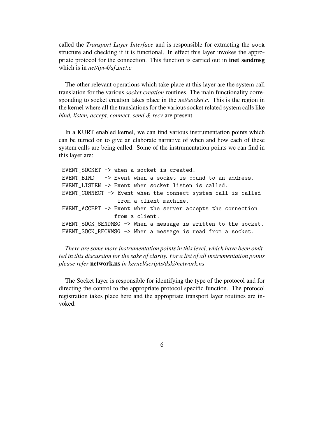called the *Transport Layer Interface* and is responsible for extracting the sock structure and checking if it is functional. In effect this layer invokes the appropriate protocol for the connection. This function is carried out in **inet sendmsg** which is in *net/ipv4/af inet.c*

The other relevant operations which take place at this layer are the system call translation for the various *socket creation* routines. The main functionality corresponding to socket creation takes place in the *net/socket.c*. This is the region in the kernel where all the translations for the various socket related system calls like *bind, listen, accept, connect, send & recv* are present.

In a KURT enabled kernel, we can find various instrumentation points which can be turned on to give an elaborate narrative of when and how each of these system calls are being called. Some of the instrumentation points we can find in this layer are:

EVENT\_SOCKET -> when a socket is created. EVENT BIND -> Event when a socket is bound to an address. EVENT\_LISTEN -> Event when socket listen is called. EVENT\_CONNECT -> Event when the connect system call is called from a client machine. EVENT\_ACCEPT -> Event when the server accepts the connection from a client. EVENT\_SOCK\_SENDMSG -> When a message is written to the socket. EVENT\_SOCK\_RECVMSG -> When a message is read from a socket.

*There are some more instrumentation pointsin thislevel, which have been omitted in this discussion for the sake of clarity. For a list of all instrumentation points please refer* **network.ns** *in kernel/scripts/dski/network.ns*

The Socket layer is responsible for identifying the type of the protocol and for directing the control to the appropriate protocol specific function. The protocol registration takes place here and the appropriate transport layer routines are invoked.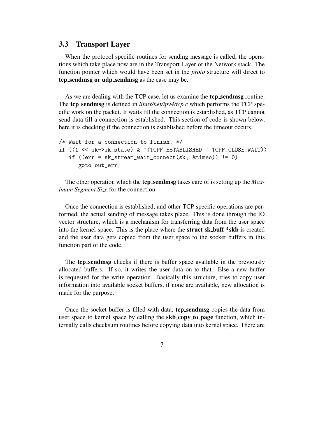#### **3.3 Transport Layer**

When the protocol specific routines for sending message is called, the operations which take place now are in the Transport Layer of the Network stack. The function pointer which would have been set in the *proto* structure will direct to **tcp sendmsg or udp sendmsg** as the case may be.

As we are dealing with the TCP case, let us examine the **tcp sendmsg** routine. The **tcp sendmsg** is defined in *linux/net/ipv4/tcp.c* which performs the TCP specific work on the packet. It waits till the connection is established, as TCP cannot send data till a connection is established. This section of code is shown below, here it is checking if the connection is established before the timeout occurs.

```
/* Wait for a connection to finish. */
if ((1 << sk->sk_state) & ~(TCPF_ESTABLISHED | TCPF_CLOSE_WAIT))
   if ((err = sk_stream_wait_connect(sk, &timeo)) != 0)
      goto out_err;
```
The other operation which the **tcp sendmsg** takes care of is setting up the *Maximum Segment Size* for the connection.

Once the connection is established, and other TCP specific operations are performed, the actual sending of message takes place. This is done through the IO vector structure, which is a mechanism for transferring data from the user space into the kernel space. This is the place where the **struct sk buff \*skb** is created and the user data gets copied from the user space to the socket buffers in this function part of the code.

The **tcp sendmsg** checks if there is buffer space available in the previously allocated buffers. If so, it writes the user data on to that. Else a new buffer is requested for the write operation. Basically this structure, tries to copy user information into available socket buffers, if none are available, new allocation is made for the purpose.

Once the socket buffer is filled with data, **tcp sendmsg** copies the data from user space to kernel space by calling the **skb copy to page** function, which internally calls checksum routines before copying data into kernel space. There are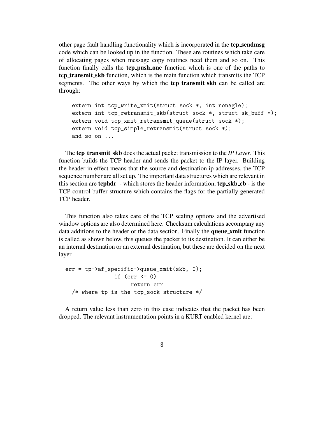other page fault handling functionality which is incorporated in the **tcp sendmsg** code which can be looked up in the function. These are routines which take care of allocating pages when message copy routines need them and so on. This function finally calls the **tcp push one** function which is one of the paths to **tcp transmit skb** function, which is the main function which transmits the TCP segments. The other ways by which the **tcp transmit skb** can be called are through:

```
extern int tcp_write_xmit(struct sock *, int nonagle);
extern int tcp_retransmit_skb(struct sock *, struct sk_buff *);
extern void tcp_xmit_retransmit_queue(struct sock *);
extern void tcp_simple_retransmit(struct sock *);
and so on ...
```
The **tcp transmit skb** does the actual packet transmission to the *IP Layer*. This function builds the TCP header and sends the packet to the IP layer. Building the header in effect means that the source and destination ip addresses, the TCP sequence number are all set up. The important data structures which are relevant in this section are **tcphdr** - which stores the header information, **tcp skb cb** - is the TCP control buffer structure which contains the flags for the partially generated TCP header.

This function also takes care of the TCP scaling options and the advertised window options are also determined here. Checksum calculations accompany any data additions to the header or the data section. Finally the **queue xmit** function is called as shown below, this queues the packet to its destination. It can either be an internal destination or an external destination, but these are decided on the next layer.

```
err = tp->af_specific->queue_xmit(skb, 0);
               if (err \leq 0)
                    return err
  /* where tp is the tcp_sock structure */
```
A return value less than zero in this case indicates that the packet has been dropped. The relevant instrumentation points in a KURT enabled kernel are: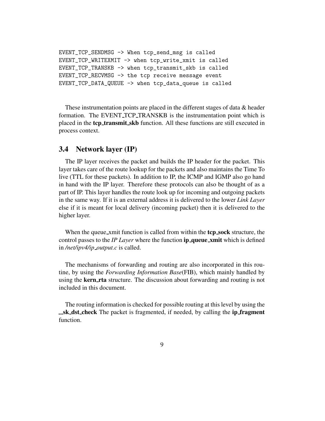```
EVENT_TCP_SENDMSG -> When tcp_send_msg is called
EVENT_TCP_WRITEXMIT -> when tcp_write_xmit is called
EVENT_TCP_TRANSKB -> when tcp_transmit_skb is called
EVENT_TCP_RECVMSG -> the tcp receive message event
EVENT_TCP_DATA_QUEUE -> when tcp_data_queue is called
```
These instrumentation points are placed in the different stages of data & header formation. The EVENT\_TCP\_TRANSKB is the instrumentation point which is placed in the **tcp transmit skb** function. All these functions are still executed in process context.

#### **3.4 Network layer (IP)**

The IP layer receives the packet and builds the IP header for the packet. This layer takes care of the route lookup for the packets and also maintains the Time To live (TTL for these packets). In addition to IP, the ICMP and IGMP also go hand in hand with the IP layer. Therefore these protocols can also be thought of as a part of IP. This layer handles the route look up for incoming and outgoing packets in the same way. If it is an external address it is delivered to the lower *Link Layer* else if it is meant for local delivery (incoming packet) then it is delivered to the higher layer.

When the queue xmit function is called from within the **tcp sock** structure, the control passes to the *IP Layer* where the function **ip queue xmit** which is defined in */net/ipv4/ip output.c* is called.

The mechanisms of forwarding and routing are also incorporated in this routine, by using the *Forwarding Information Base*(FIB), which mainly handled by using the **kern rta** structure. The discussion about forwarding and routing is not included in this document.

The routing information is checked for possible routing at thislevel by using the **sk dst check** The packet is fragmented, if needed, by calling the **ip fragment** function.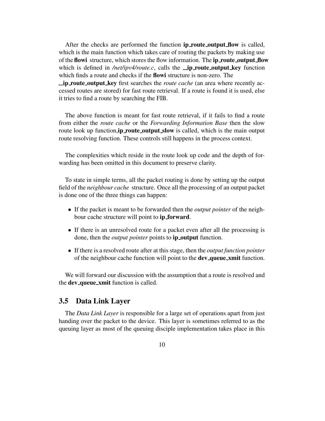After the checks are performed the function **ip route output flow** is called, which is the main function which takes care of routing the packets by making use of the **flowi** structure, which storesthe flow information. The **ip route output flow** which is defined in */net/ipv4/route.c*, calls the **ip route output key** function which finds a route and checks if the **flowi** structure is non-zero. The **ip route output key** first searches the *route cache* (an area where recently accessed routes are stored) for fast route retrieval. If a route is found it is used, else it tries to find a route by searching the FIB.

The above function is meant for fast route retrieval, if it fails to find a route from either the *route cache* or the *Forwarding Information Base* then the slow route look up function,**ip route output slow** is called, which is the main output route resolving function. These controls still happens in the process context.

The complexities which reside in the route look up code and the depth of forwarding has been omitted in this document to preserve clarity.

To state in simple terms, all the packet routing is done by setting up the output field of the *neighbour cache* structure. Once all the processing of an output packet is done one of the three things can happen:

- If the packet is meant to be forwarded then the *output pointer* of the neighbour cache structure will point to **ip forward**.
- If there is an unresolved route for a packet even after all the processing is done, then the *output pointer* points to **ip output** function.
- If there is a resolved route after at this stage, then the *output function pointer* of the neighbour cache function will point to the **dev queue xmit** function.

We will forward our discussion with the assumption that a route is resolved and the **dev queue xmit** function is called.

#### **3.5 Data Link Layer**

The *Data Link Layer* is responsible for a large set of operations apart from just handing over the packet to the device. This layer is sometimes referred to as the queuing layer as most of the queuing disciple implementation takes place in this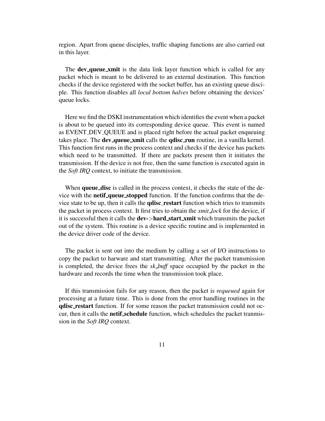region. Apart from queue disciples, traffic shaping functions are also carried out in this layer.

The **dev queue xmit** is the data link layer function which is called for any packet which is meant to be delivered to an external destination. This function checks if the device registered with the socket buffer, has an existing queue disciple. This function disables all *local bottom halves* before obtaining the devices' queue locks.

Here we find the DSKI instrumentation which identifies the event when a packet is about to be queued into its corresponding device queue. This event is named as EVENT DEV QUEUE and is placed right before the actual packet enqueuing takes place. The **dev queue xmit** calls the **qdisc run** routine, in a vanilla kernel. This function first runs in the process context and checks if the device has packets which need to be transmitted. If there are packets present then it initiates the transmission. If the device is not free, then the same function is executed again in the *Soft IRQ* context, to initiate the transmission.

When **queue disc** is called in the process context, it checks the state of the device with the **netif queue stopped** function. If the function confirms that the device state to be up, then it calls the **qdisc restart** function which tries to transmits the packet in process context. It first tries to obtain the *xmit lock* for the device, if it is successful then it calls the **dev-**>**hard start xmit** which transmits the packet out of the system. This routine is a device specific routine and is implemented in the device driver code of the device.

The packet is sent out into the medium by calling a set of I/O instructions to copy the packet to harware and start transmitting. After the packet transmission is completed, the device frees the *sk buff* space occupied by the packet in the hardware and records the time when the transmission took place.

If this transmission fails for any reason, then the packet is *requeued* again for processing at a future time. This is done from the error handling routines in the **qdisc restart** function. If for some reason the packet transmission could not occur, then it calls the **netif schedule** function, which schedules the packet tranmission in the *Soft IRQ* context.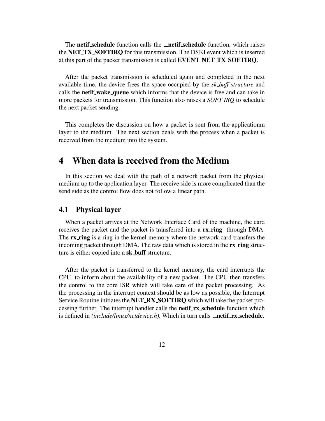The **netif schedule** function calls the **netif schedule** function, which raises the **NET TX SOFTIRQ** for this transmission. The DSKI event which is inserted at this part of the packet transmission is called **EVENT NET TX SOFTIRQ**.

After the packet transmission is scheduled again and completed in the next available time, the device frees the space occupied by the *sk buff structure* and calls the **netif wake queue** which informs that the device is free and can take in more packets for transmission. This function also raises a *SOFT IRQ* to schedule the next packet sending.

This completes the discussion on how a packet is sent from the applicationm layer to the medium. The next section deals with the process when a packet is received from the medium into the system.

## **4 When data is received from the Medium**

In this section we deal with the path of a network packet from the physical medium up to the application layer. The receive side is more complicated than the send side as the control flow does not follow a linear path.

#### **4.1 Physical layer**

When a packet arrives at the Network Interface Card of the machine, the card receives the packet and the packet is transferred into a **rx ring** through DMA. The **rx ring** is a ring in the kernel memory where the network card transfers the incoming packet through DMA. The raw data which is stored in the **rx ring** structure is either copied into a **sk buff** structure.

After the packet is transferred to the kernel memory, the card interrupts the CPU, to inform about the availability of a new packet. The CPU then transfers the control to the core ISR which will take care of the packet processing. As the processing in the interrupt context should be as low as possible, the Interrupt Service Routine initiatesthe **NET RX SOFTIRQ** which will take the packet processing further. The interrupt handler calls the **netif rx schedule** function which is defined in *(include/linux/netdevice.h)*, Which in turn calls **netif rx** schedule.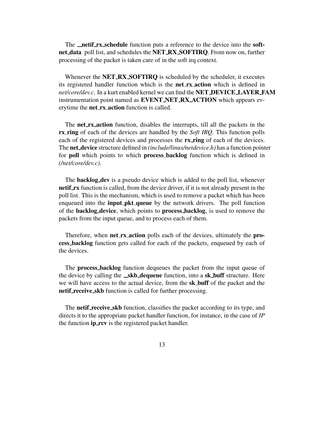The **netif rx schedule** function puts a reference to the device into the **softnet data** poll list, and schedules the **NET RX SOFTIRQ**. From now on, further processing of the packet is taken care of in the soft irq context.

Whenever the **NET RX SOFTIRQ** is scheduled by the scheduler, it executes its registered handler function which is the **net rx action** which is defined in *net/core/dev.c*. In a kurt enabled kernel we can find the **NET DEVICE LAYER FAM** instrumentation point named as **EVENT NET RX ACTION** which appears everytime the **net rx action** function is called.

The **net rx action** function, disables the interrupts, till all the packets in the **rx ring** of each of the devices are handled by the *Soft IRQ*. This function polls each of the registered devices and processes the **rx ring** of each of the devices. The **net device** structure defined in *(include/linux/netdevice.h)* has a function pointer for **poll** which points to which **process backlog** function which is defined in *(/net/core/dev.c)*.

The **backlog dev** is a pseudo device which is added to the poll list, whenever **netif<sub><b>\_rx**</sub> function is called, from the device driver, if it is not already present in the poll list. This is the mechanism, which is used to remove a packet which has been enqueued into the **input pkt queue** by the network drivers. The poll function of the **backlog device**, which points to **process backlog**, is used to remove the packets from the input queue, and to process each of them.

Therefore, when **net rx action** polls each of the devices, ultimately the **process backlog** function gets called for each of the packets, enqueued by each of the devices.

The **process backlog** function dequeues the packet from the input queue of the device by calling the **skb dequeue** function, into a **sk buff** structure. Here we will have access to the actual device, from the **sk buff** of the packet and the **netif receive skb** function is called for further processing.

The **netif receive skb** function, classifies the packet according to its type, and directs it to the appropriate packet handler function, for instance, in the case of *IP* the function **ip rcv** is the registered packet handler.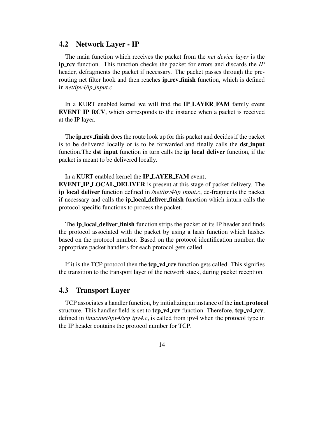#### **4.2 Network Layer - IP**

The main function which receives the packet from the *net device layer* is the **ip rcv** function. This function checks the packet for errors and discards the *IP* header, defragments the packet if necessary. The packet passes through the prerouting net filter hook and then reaches **ip rcv finish** function, which is defined in *net/ipv4/ip input.c*.

In a KURT enabled kernel we will find the **IP LAYER FAM** family event **EVENT IP RCV**, which corresponds to the instance when a packet is received at the IP layer.

The **ip rcv finish** doesthe route look up for this packet and decidesif the packet is to be delivered locally or is to be forwarded and finally calls the **dst input** function.The **dst input** function in turn calls the **ip local deliver** function, if the packet is meant to be delivered locally.

#### In a KURT enabled kernel the **IP LAYER FAM** event,

**EVENT IP LOCAL DELIVER** is present at this stage of packet delivery. The **ip local deliver** function defined in */net/ipv4/ip input.c*, de-fragments the packet if necessary and calls the **ip local deliver finish** function which inturn calls the protocol specific functions to process the packet.

The **ip local deliver finish** function strips the packet of its IP header and finds the protocol associated with the packet by using a hash function which hashes based on the protocol number. Based on the protocol identification number, the appropriate packet handlers for each protocol gets called.

If it is the TCP protocol then the **tcp v4 rcv** function gets called. This signifies the transition to the transport layer of the network stack, during packet reception.

#### **4.3 Transport Layer**

TCP associates a handler function, by initializing an instance of the **inet protocol** structure. This handler field is set to **tcp v4 rcv** function. Therefore, **tcp v4 rcv**, defined in *linux/net/ipv4/tcp ipv4.c*, is called from ipv4 when the protocol type in the IP header contains the protocol number for TCP.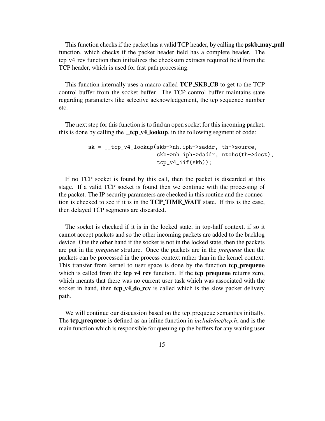This function checks if the packet has a valid TCP header, by calling the **pskb\_may\_pull** function, which checks if the packet header field has a complete header. The tcp v4 rcv function then initializes the checksum extracts required field from the TCP header, which is used for fast path processing.

This function internally uses a macro called **TCP SKB CB** to get to the TCP control buffer from the socket buffer. The TCP control buffer maintains state regarding parameters like selective acknowledgement, the tcp sequence number etc.

The next step for this function is to find an open socket for this incoming packet, this is done by calling the **\_tcp\_v4\_lookup**, in the following segment of code:

```
sk = __tcp_v4_lookup(skb->nh.iph->saddr, th->source,
                     skb->nh.iph->daddr, ntohs(th->dest),
                     tcp_v4_iif(skb));
```
If no TCP socket is found by this call, then the packet is discarded at this stage. If a valid TCP socket is found then we continue with the processing of the packet. The IP security parameters are checked in this routine and the connection is checked to see if it is in the **TCP TIME WAIT** state. If this is the case, then delayed TCP segments are discarded.

The socket is checked if it is in the locked state, in top-half context, if so it cannot accept packets and so the other incoming packets are added to the backlog device. One the other hand if the socket is not in the locked state, then the packets are put in the *prequeue* struture. Once the packets are in the *prequeue* then the packets can be processed in the process context rather than in the kernel context. This transfer from kernel to user space is done by the function **tcp prequeue** which is called from the **tcp v4 rcv** function. If the **tcp prequeue** returns zero, which meants that there was no current user task which was associated with the socket in hand, then **tcp v4 do rcv** is called which is the slow packet delivery path.

We will continue our discussion based on the tcp prequeue semantics initially. The **tcp prequeue** is defined as an inline function in *include/net/tcp.h*, and is the main function which is responsible for queuing up the buffers for any waiting user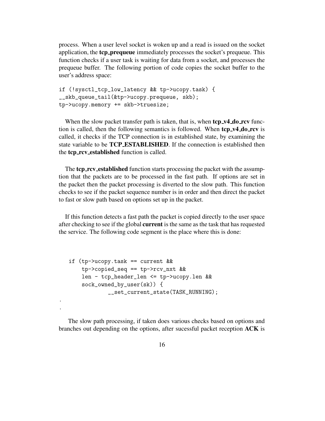process. When a user level socket is woken up and a read is issued on the socket application, the **tcp prequeue** immediately processes the socket's prequeue. This function checks if a user task is waiting for data from a socket, and processes the prequeue buffer. The following portion of code copies the socket buffer to the user's address space:

```
if (!sysctl_tcp_low_latency && tp->ucopy.task) {
__skb_queue_tail(&tp->ucopy.prequeue, skb);
tp->ucopy.memory += skb->truesize;
```
When the slow packet transfer path is taken, that is, when **tcp v4 do rcv** function is called, then the following semantics is followed. When **tcp v4 do rcv** is called, it checks if the TCP connection is in established state, by examining the state variable to be **TCP ESTABLISHED**. If the connection is established then the **tcp rcv established** function is called.

The **tcp rcv established** function starts processing the packet with the assumption that the packets are to be processed in the fast path. If options are set in the packet then the packet processing is diverted to the slow path. This function checks to see if the packet sequence number is in order and then direct the packet to fast or slow path based on options set up in the packet.

If this function detects a fast path the packet is copied directly to the user space after checking to see if the global **current** is the same as the task that has requested the service. The following code segment is the place where this is done:

```
if (tp->ucopy.task == current &&
    tp->copied_seq == tp->rcv_nxt &&
   len - tcp_header_len <= tp->ucopy.len &&
    sock_owned_by_user(sk)) {
            __set_current_state(TASK_RUNNING);
```
. .

The slow path processing, if taken does various checks based on options and branches out depending on the options, after sucessful packet reception **ACK** is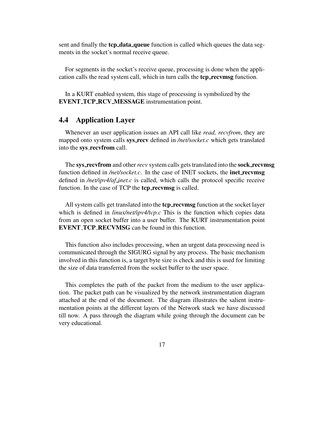sent and finally the **tcp data queue** function is called which queues the data segments in the socket's normal receive queue.

For segments in the socket's receive queue, processing is done when the application calls the read system call, which in turn calls the **tcp recvmsg** function.

In a KURT enabled system, this stage of processing is symbolized by the **EVENT TCP RCV MESSAGE** instrumentation point.

## **4.4 Application Layer**

Whenever an user application issues an API call like *read, recvfrom*, they are mapped onto system calls **sys recv** defined in */net/socket.c* which gets translated into the **sys recvfrom** call.

The **sys recvfrom** and other*recv* system calls getstranslated into the **sock recvmsg** function defined in */net/socket.c*. In the case of INET sockets, the **inet recvmsg** defined in */net/ipv4/af inet.c* is called, which calls the protocol specific receive function. In the case of TCP the **tcp recvmsg** is called.

All system calls get translated into the **tcp recvmsg** function at the socket layer which is defined in *linux/net/ipv4/tcp.c* This is the function which copies data from an open socket buffer into a user buffer. The KURT instrumentation point **EVENT TCP RECVMSG** can be found in this function.

This function also includes processing, when an urgent data processing need is communicated through the SIGURG signal by any process. The basic mechanism involved in this function is, a target byte size is check and this is used for limiting the size of data transferred from the socket buffer to the user space.

This completes the path of the packet from the medium to the user application. The packet path can be visualized by the network instrumentation diagram attached at the end of the document. The diagram illustrates the salient instrumentation points at the different layers of the Network stack we have discussed till now. A pass through the diagram while going through the document can be very educational.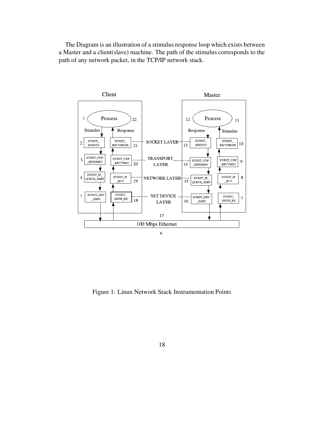The Diagram is an illustration of a stimulus response loop which exists between a Master and a client(slave) machine. The path of the stimulus corresponds to the path of any network packet, in the TCP/IP network stack.



Figure 1: Linux Network Stack Instrumentation Points